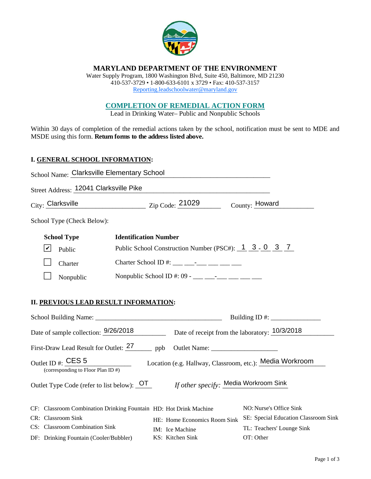

# **MARYLAND DEPARTMENT OF THE ENVIRONMENT**

Water Supply Program, 1800 Washington Blvd, Suite 450, Baltimore, MD 21230 410-537-3729 • 1-800-633-6101 x 3729 • Fax: 410-537-3157 Reporting.leadschoolwater@maryland.gov

# **COMPLETION OF REMEDIAL ACTION FORM**

Lead in Drinking Water– Public and Nonpublic Schools

Within 30 days of completion of the remedial actions taken by the school, notification must be sent to MDE and MSDE using this form. **Return forms to the address listed above.** 

# **I. GENERAL SCHOOL INFORMATION:**

| School Name: Clarksville Elementary School                                                                                          |                                                                    |                                        |
|-------------------------------------------------------------------------------------------------------------------------------------|--------------------------------------------------------------------|----------------------------------------|
| Street Address: 12041 Clarksville Pike                                                                                              | <u> 1980 - Johann Barn, mars an deus Amerikaansk kommunister (</u> |                                        |
|                                                                                                                                     |                                                                    | County: Howard                         |
| School Type (Check Below):                                                                                                          |                                                                    |                                        |
| <b>School Type</b><br><b>Identification Number</b>                                                                                  |                                                                    |                                        |
| $ \boldsymbol{v} $<br>Public                                                                                                        | Public School Construction Number (PSC#): 1 3 - 0 3 7              |                                        |
| Charter                                                                                                                             | Charter School ID #: ___ _________ ____ ____ ____                  |                                        |
| Nonpublic                                                                                                                           | Nonpublic School ID #: 09 - ___ ___ -__ ___ ___ ___ ___            |                                        |
| <b>II. PREVIOUS LEAD RESULT INFORMATION:</b><br>Date of sample collection: 9/26/2018 Date of receipt from the laboratory: 10/3/2018 |                                                                    |                                        |
| First-Draw Lead Result for Outlet: <sup>27</sup> ppb Outlet Name: ________________________                                          |                                                                    |                                        |
| Outlet ID #: $CES 5$<br>(corresponding to Floor Plan ID $#$ )                                                                       | Location (e.g. Hallway, Classroom, etc.): Media Workroom           |                                        |
| Outlet Type Code (refer to list below): <u>OT</u> If other specify: Media Workroom Sink                                             |                                                                    |                                        |
| CF: Classroom Combination Drinking Fountain HD: Hot Drink Machine                                                                   |                                                                    | NO: Nurse's Office Sink                |
| CR: Classroom Sink                                                                                                                  | HE: Home Economics Room Sink                                       | SE: Special Education Classroom Sink   |
| CS: Classroom Combination Sink<br>DF: Drinking Fountain (Cooler/Bubbler)                                                            | IM: Ice Machine<br>KS: Kitchen Sink                                | TL: Teachers' Lounge Sink<br>OT: Other |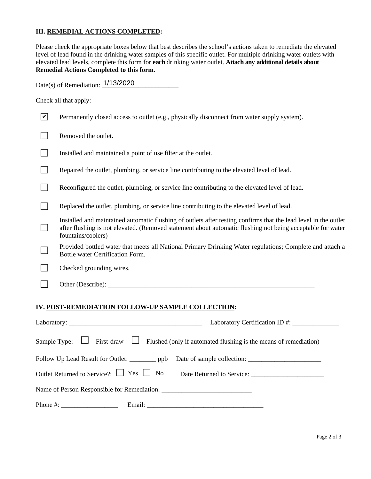# **III. REMEDIAL ACTIONS COMPLETED:**

Please check the appropriate boxes below that best describes the school's actions taken to remediate the elevated level of lead found in the drinking water samples of this specific outlet. For multiple drinking water outlets with elevated lead levels, complete this form for **each** drinking water outlet. **Attach any additional details about Remedial Actions Completed to this form.** 

Date(s) of Remediation:  $\frac{1/13/2020}{2}$ 

Check all that apply:

| $\mathbf v$                 | Permanently closed access to outlet (e.g., physically disconnect from water supply system).                                                                                                                                                         |
|-----------------------------|-----------------------------------------------------------------------------------------------------------------------------------------------------------------------------------------------------------------------------------------------------|
|                             | Removed the outlet.                                                                                                                                                                                                                                 |
| $\mathbf{L}$                | Installed and maintained a point of use filter at the outlet.                                                                                                                                                                                       |
|                             | Repaired the outlet, plumbing, or service line contributing to the elevated level of lead.                                                                                                                                                          |
|                             | Reconfigured the outlet, plumbing, or service line contributing to the elevated level of lead.                                                                                                                                                      |
|                             | Replaced the outlet, plumbing, or service line contributing to the elevated level of lead.                                                                                                                                                          |
| $\mathcal{L}_{\mathcal{A}}$ | Installed and maintained automatic flushing of outlets after testing confirms that the lead level in the outlet<br>after flushing is not elevated. (Removed statement about automatic flushing not being acceptable for water<br>fountains/coolers) |
| $\frac{1}{2}$               | Provided bottled water that meets all National Primary Drinking Water regulations; Complete and attach a<br>Bottle water Certification Form.                                                                                                        |
|                             | Checked grounding wires.                                                                                                                                                                                                                            |
|                             | Other (Describe): _____                                                                                                                                                                                                                             |
|                             |                                                                                                                                                                                                                                                     |

#### **IV. POST-REMEDIATION FOLLOW-UP SAMPLE COLLECTION:**

|                                  | Laboratory Certification ID #: ________________                                                                                                                                                                                |  |  |
|----------------------------------|--------------------------------------------------------------------------------------------------------------------------------------------------------------------------------------------------------------------------------|--|--|
|                                  | Sample Type: $\Box$ First-draw $\Box$ Flushed (only if automated flushing is the means of remediation)                                                                                                                         |  |  |
|                                  | Follow Up Lead Result for Outlet: ___________ ppb Date of sample collection: _______________________                                                                                                                           |  |  |
|                                  | Outlet Returned to Service?: Simple Service: Service: Service: Service: Service: Service: Service: Service: Service: Service: Service: Service: Service: Service: Service: Service: Service: Service: Service: Service: Servic |  |  |
|                                  |                                                                                                                                                                                                                                |  |  |
| Phone #: $\frac{1}{2}$ = 0.000 m |                                                                                                                                                                                                                                |  |  |